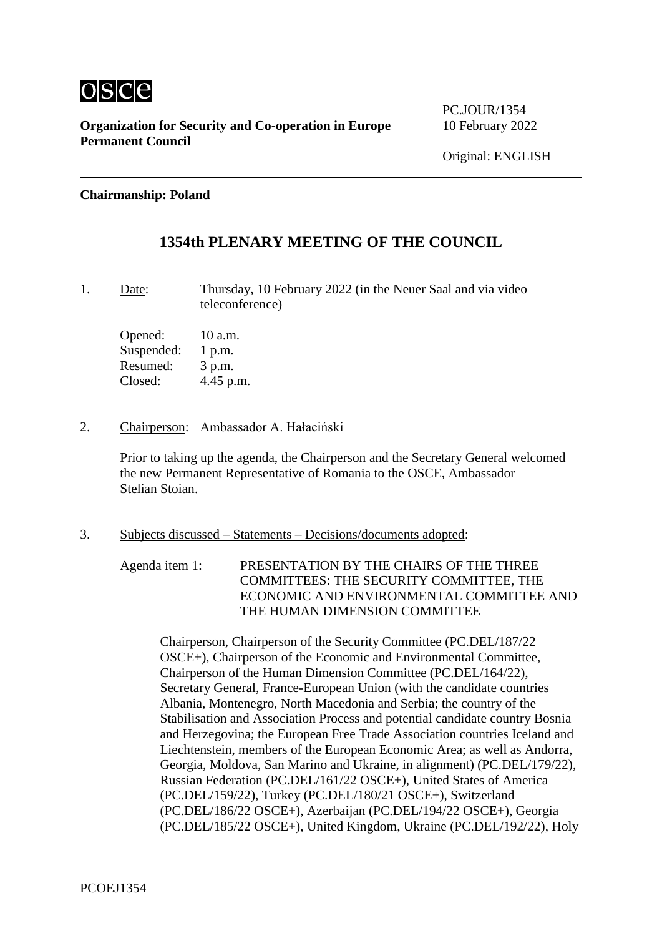

**Organization for Security and Co-operation in Europe** 10 February 2022 **Permanent Council**

PC. JOUR/1354

### **Chairmanship: Poland**

# **1354th PLENARY MEETING OF THE COUNCIL**

1. Date: Thursday, 10 February 2022 (in the Neuer Saal and via video teleconference)

Opened: 10 a.m. Suspended: 1 p.m. Resumed: 3 p.m. Closed: 4.45 p.m.

2. Chairperson: Ambassador A. Hałaciński

Prior to taking up the agenda, the Chairperson and the Secretary General welcomed the new Permanent Representative of Romania to the OSCE, Ambassador Stelian Stoian.

3. Subjects discussed – Statements – Decisions/documents adopted:

Agenda item 1: PRESENTATION BY THE CHAIRS OF THE THREE COMMITTEES: THE SECURITY COMMITTEE, THE ECONOMIC AND ENVIRONMENTAL COMMITTEE AND THE HUMAN DIMENSION COMMITTEE

Chairperson, Chairperson of the Security Committee (PC.DEL/187/22 OSCE+), Chairperson of the Economic and Environmental Committee, Chairperson of the Human Dimension Committee (PC.DEL/164/22), Secretary General, France-European Union (with the candidate countries Albania, Montenegro, North Macedonia and Serbia; the country of the Stabilisation and Association Process and potential candidate country Bosnia and Herzegovina; the European Free Trade Association countries Iceland and Liechtenstein, members of the European Economic Area; as well as Andorra, Georgia, Moldova, San Marino and Ukraine, in alignment) (PC.DEL/179/22), Russian Federation (PC.DEL/161/22 OSCE+), United States of America (PC.DEL/159/22), Turkey (PC.DEL/180/21 OSCE+), Switzerland (PC.DEL/186/22 OSCE+), Azerbaijan (PC.DEL/194/22 OSCE+), Georgia (PC.DEL/185/22 OSCE+), United Kingdom, Ukraine (PC.DEL/192/22), Holy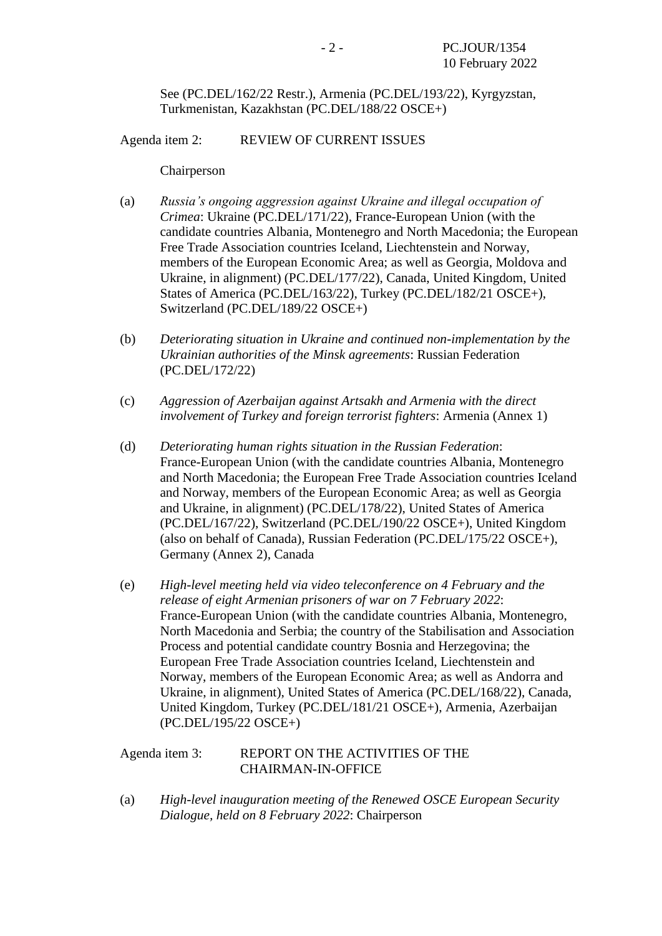See (PC.DEL/162/22 Restr.), Armenia (PC.DEL/193/22), Kyrgyzstan, Turkmenistan, Kazakhstan (PC.DEL/188/22 OSCE+)

Agenda item 2: REVIEW OF CURRENT ISSUES

Chairperson

- (a) *Russia's ongoing aggression against Ukraine and illegal occupation of Crimea*: Ukraine (PC.DEL/171/22), France-European Union (with the candidate countries Albania, Montenegro and North Macedonia; the European Free Trade Association countries Iceland, Liechtenstein and Norway, members of the European Economic Area; as well as Georgia, Moldova and Ukraine, in alignment) (PC.DEL/177/22), Canada, United Kingdom, United States of America (PC.DEL/163/22), Turkey (PC.DEL/182/21 OSCE+), Switzerland (PC.DEL/189/22 OSCE+)
- (b) *Deteriorating situation in Ukraine and continued non-implementation by the Ukrainian authorities of the Minsk agreements*: Russian Federation (PC.DEL/172/22)
- (c) *Aggression of Azerbaijan against Artsakh and Armenia with the direct involvement of Turkey and foreign terrorist fighters*: Armenia (Annex 1)
- (d) *Deteriorating human rights situation in the Russian Federation*: France-European Union (with the candidate countries Albania, Montenegro and North Macedonia; the European Free Trade Association countries Iceland and Norway, members of the European Economic Area; as well as Georgia and Ukraine, in alignment) (PC.DEL/178/22), United States of America (PC.DEL/167/22), Switzerland (PC.DEL/190/22 OSCE+), United Kingdom (also on behalf of Canada), Russian Federation (PC.DEL/175/22 OSCE+), Germany (Annex 2), Canada
- (e) *High-level meeting held via video teleconference on 4 February and the release of eight Armenian prisoners of war on 7 February 2022*: France-European Union (with the candidate countries Albania, Montenegro, North Macedonia and Serbia; the country of the Stabilisation and Association Process and potential candidate country Bosnia and Herzegovina; the European Free Trade Association countries Iceland, Liechtenstein and Norway, members of the European Economic Area; as well as Andorra and Ukraine, in alignment), United States of America (PC.DEL/168/22), Canada, United Kingdom, Turkey (PC.DEL/181/21 OSCE+), Armenia, Azerbaijan (PC.DEL/195/22 OSCE+)

## Agenda item 3: REPORT ON THE ACTIVITIES OF THE CHAIRMAN-IN-OFFICE

(a) *High-level inauguration meeting of the Renewed OSCE European Security Dialogue, held on 8 February 2022*: Chairperson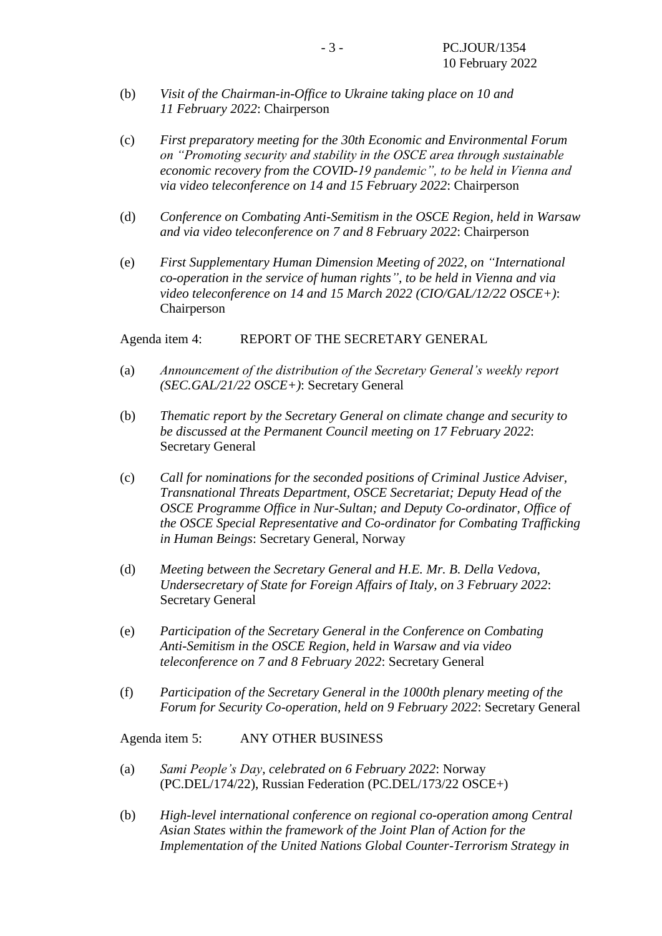- (b) *Visit of the Chairman-in-Office to Ukraine taking place on 10 and 11 February 2022*: Chairperson
- (c) *First preparatory meeting for the 30th Economic and Environmental Forum on "Promoting security and stability in the OSCE area through sustainable economic recovery from the COVID-19 pandemic", to be held in Vienna and via video teleconference on 14 and 15 February 2022*: Chairperson
- (d) *Conference on Combating Anti-Semitism in the OSCE Region, held in Warsaw and via video teleconference on 7 and 8 February 2022*: Chairperson
- (e) *First Supplementary Human Dimension Meeting of 2022, on "International co-operation in the service of human rights", to be held in Vienna and via video teleconference on 14 and 15 March 2022 (CIO/GAL/12/22 OSCE+)*: Chairperson

Agenda item 4: REPORT OF THE SECRETARY GENERAL

- (a) *Announcement of the distribution of the Secretary General's weekly report (SEC.GAL/21/22 OSCE+)*: Secretary General
- (b) *Thematic report by the Secretary General on climate change and security to be discussed at the Permanent Council meeting on 17 February 2022*: Secretary General
- (c) *Call for nominations for the seconded positions of Criminal Justice Adviser, Transnational Threats Department, OSCE Secretariat; Deputy Head of the OSCE Programme Office in Nur-Sultan; and Deputy Co-ordinator, Office of the OSCE Special Representative and Co-ordinator for Combating Trafficking in Human Beings*: Secretary General, Norway
- (d) *Meeting between the Secretary General and H.E. Mr. B. Della Vedova, Undersecretary of State for Foreign Affairs of Italy, on 3 February 2022*: Secretary General
- (e) *Participation of the Secretary General in the Conference on Combating Anti-Semitism in the OSCE Region, held in Warsaw and via video teleconference on 7 and 8 February 2022*: Secretary General
- (f) *Participation of the Secretary General in the 1000th plenary meeting of the Forum for Security Co-operation, held on 9 February 2022*: Secretary General

Agenda item 5: ANY OTHER BUSINESS

- (a) *Sami People's Day, celebrated on 6 February 2022*: Norway (PC.DEL/174/22), Russian Federation (PC.DEL/173/22 OSCE+)
- (b) *High-level international conference on regional co-operation among Central Asian States within the framework of the Joint Plan of Action for the Implementation of the United Nations Global Counter-Terrorism Strategy in*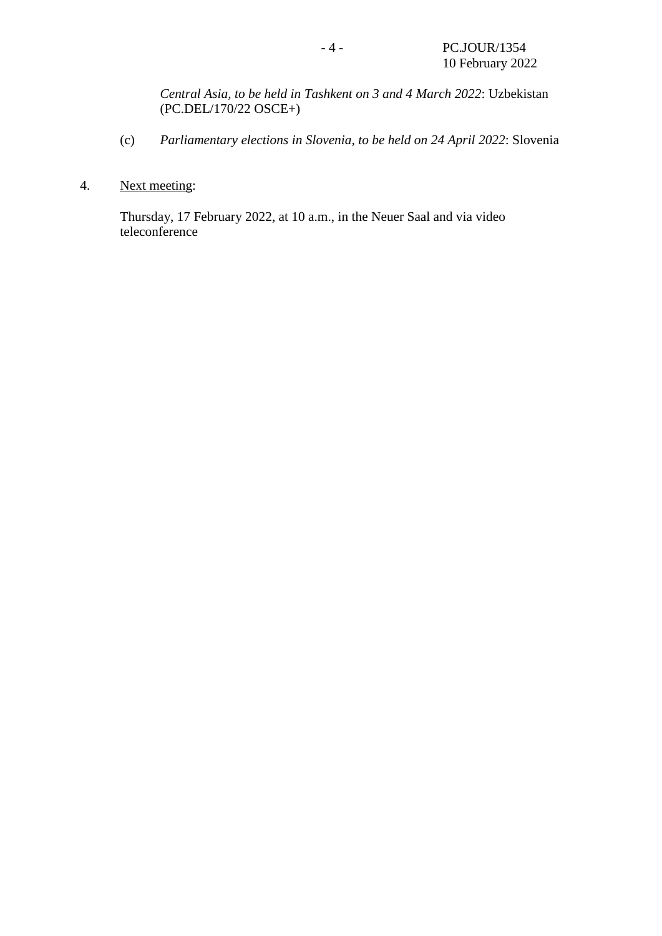*Central Asia, to be held in Tashkent on 3 and 4 March 2022*: Uzbekistan (PC.DEL/170/22 OSCE+)

- (c) *Parliamentary elections in Slovenia, to be held on 24 April 2022*: Slovenia
- 4. Next meeting:

Thursday, 17 February 2022, at 10 a.m., in the Neuer Saal and via video teleconference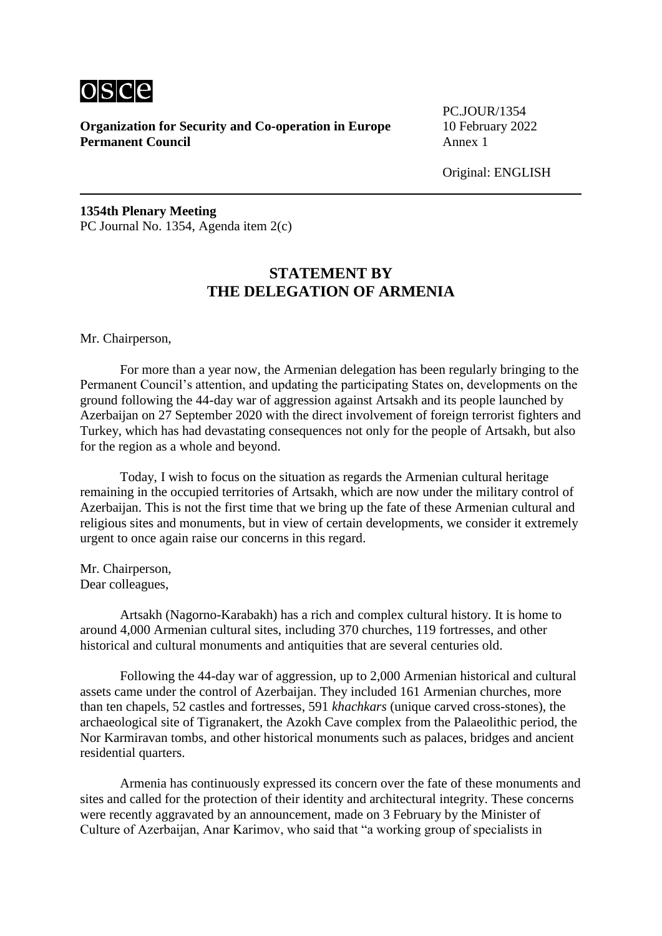

**Organization for Security and Co-operation in Europe** 10 February 2022 **Permanent Council** Annex 1

PC.JOUR/1354

Original: ENGLISH

**1354th Plenary Meeting** PC Journal No. 1354, Agenda item 2(c)

# **STATEMENT BY THE DELEGATION OF ARMENIA**

Mr. Chairperson,

For more than a year now, the Armenian delegation has been regularly bringing to the Permanent Council's attention, and updating the participating States on, developments on the ground following the 44-day war of aggression against Artsakh and its people launched by Azerbaijan on 27 September 2020 with the direct involvement of foreign terrorist fighters and Turkey, which has had devastating consequences not only for the people of Artsakh, but also for the region as a whole and beyond.

Today, I wish to focus on the situation as regards the Armenian cultural heritage remaining in the occupied territories of Artsakh, which are now under the military control of Azerbaijan. This is not the first time that we bring up the fate of these Armenian cultural and religious sites and monuments, but in view of certain developments, we consider it extremely urgent to once again raise our concerns in this regard.

Mr. Chairperson, Dear colleagues,

Artsakh (Nagorno-Karabakh) has a rich and complex cultural history. It is home to around 4,000 Armenian cultural sites, including 370 churches, 119 fortresses, and other historical and cultural monuments and antiquities that are several centuries old.

Following the 44-day war of aggression, up to 2,000 Armenian historical and cultural assets came under the control of Azerbaijan. They included 161 Armenian churches, more than ten chapels, 52 castles and fortresses, 591 *khachkars* (unique carved cross-stones), the archaeological site of Tigranakert, the Azokh Cave complex from the Palaeolithic period, the Nor Karmiravan tombs, and other historical monuments such as palaces, bridges and ancient residential quarters.

Armenia has continuously expressed its concern over the fate of these monuments and sites and called for the protection of their identity and architectural integrity. These concerns were recently aggravated by an announcement, made on 3 February by the Minister of Culture of Azerbaijan, Anar Karimov, who said that "a working group of specialists in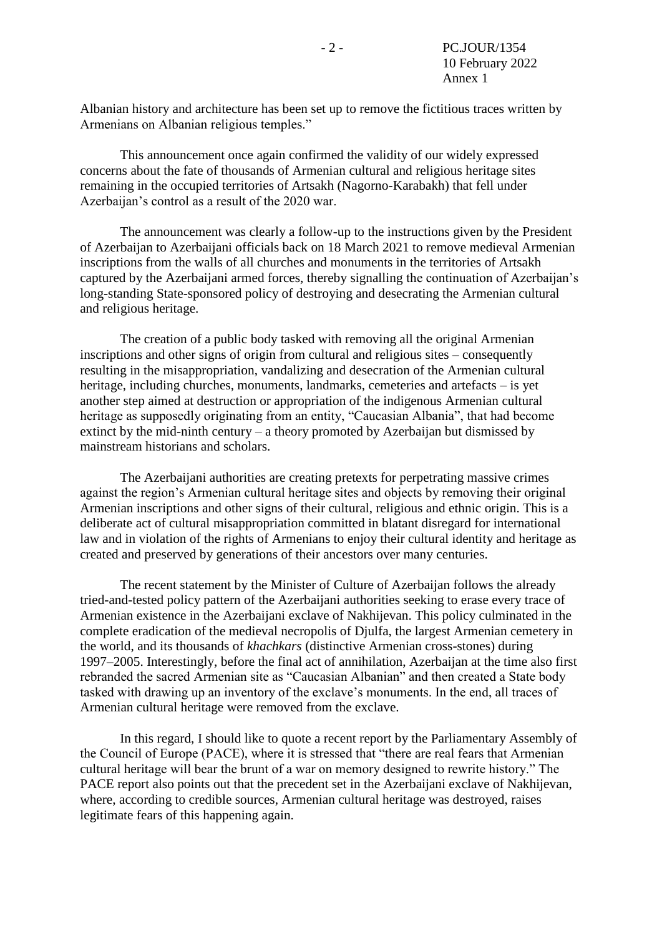Albanian history and architecture has been set up to remove the fictitious traces written by Armenians on Albanian religious temples."

This announcement once again confirmed the validity of our widely expressed concerns about the fate of thousands of Armenian cultural and religious heritage sites remaining in the occupied territories of Artsakh (Nagorno-Karabakh) that fell under Azerbaijan's control as a result of the 2020 war.

The announcement was clearly a follow-up to the instructions given by the President of Azerbaijan to Azerbaijani officials back on 18 March 2021 to remove medieval Armenian inscriptions from the walls of all churches and monuments in the territories of Artsakh captured by the Azerbaijani armed forces, thereby signalling the continuation of Azerbaijan's long-standing State-sponsored policy of destroying and desecrating the Armenian cultural and religious heritage.

The creation of a public body tasked with removing all the original Armenian inscriptions and other signs of origin from cultural and religious sites – consequently resulting in the misappropriation, vandalizing and desecration of the Armenian cultural heritage, including churches, monuments, landmarks, cemeteries and artefacts – is yet another step aimed at destruction or appropriation of the indigenous Armenian cultural heritage as supposedly originating from an entity, "Caucasian Albania", that had become extinct by the mid-ninth century – a theory promoted by Azerbaijan but dismissed by mainstream historians and scholars.

The Azerbaijani authorities are creating pretexts for perpetrating massive crimes against the region's Armenian cultural heritage sites and objects by removing their original Armenian inscriptions and other signs of their cultural, religious and ethnic origin. This is a deliberate act of cultural misappropriation committed in blatant disregard for international law and in violation of the rights of Armenians to enjoy their cultural identity and heritage as created and preserved by generations of their ancestors over many centuries.

The recent statement by the Minister of Culture of Azerbaijan follows the already tried-and-tested policy pattern of the Azerbaijani authorities seeking to erase every trace of Armenian existence in the Azerbaijani exclave of Nakhijevan. This policy culminated in the complete eradication of the medieval necropolis of Djulfa, the largest Armenian cemetery in the world, and its thousands of *khachkars* (distinctive Armenian cross-stones) during 1997–2005. Interestingly, before the final act of annihilation, Azerbaijan at the time also first rebranded the sacred Armenian site as "Caucasian Albanian" and then created a State body tasked with drawing up an inventory of the exclave's monuments. In the end, all traces of Armenian cultural heritage were removed from the exclave.

In this regard, I should like to quote a recent report by the Parliamentary Assembly of the Council of Europe (PACE), where it is stressed that "there are real fears that Armenian cultural heritage will bear the brunt of a war on memory designed to rewrite history." The PACE report also points out that the precedent set in the Azerbaijani exclave of Nakhijevan, where, according to credible sources, Armenian cultural heritage was destroyed, raises legitimate fears of this happening again.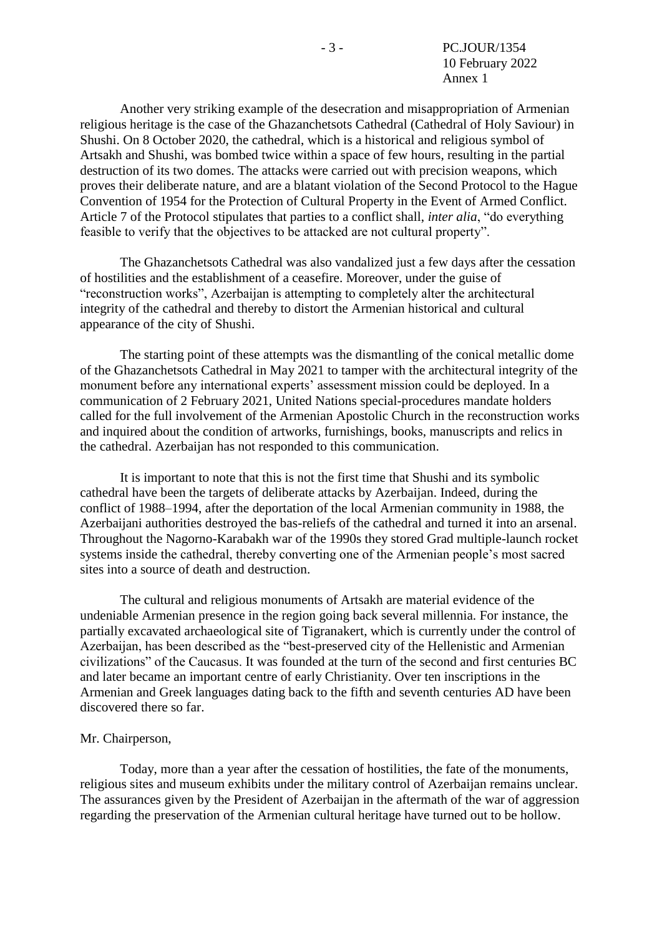Another very striking example of the desecration and misappropriation of Armenian religious heritage is the case of the Ghazanchetsots Cathedral (Cathedral of Holy Saviour) in Shushi. On 8 October 2020, the cathedral, which is a historical and religious symbol of Artsakh and Shushi, was bombed twice within a space of few hours, resulting in the partial destruction of its two domes. The attacks were carried out with precision weapons, which proves their deliberate nature, and are a blatant violation of the Second Protocol to the Hague Convention of 1954 for the Protection of Cultural Property in the Event of Armed Conflict. Article 7 of the Protocol stipulates that parties to a conflict shall, *inter alia*, "do everything feasible to verify that the objectives to be attacked are not cultural property".

The Ghazanchetsots Cathedral was also vandalized just a few days after the cessation of hostilities and the establishment of a ceasefire. Moreover, under the guise of "reconstruction works", Azerbaijan is attempting to completely alter the architectural integrity of the cathedral and thereby to distort the Armenian historical and cultural appearance of the city of Shushi.

The starting point of these attempts was the dismantling of the conical metallic dome of the Ghazanchetsots Cathedral in May 2021 to tamper with the architectural integrity of the monument before any international experts' assessment mission could be deployed. In a communication of 2 February 2021, United Nations special-procedures mandate holders called for the full involvement of the Armenian Apostolic Church in the reconstruction works and inquired about the condition of artworks, furnishings, books, manuscripts and relics in the cathedral. Azerbaijan has not responded to this communication.

It is important to note that this is not the first time that Shushi and its symbolic cathedral have been the targets of deliberate attacks by Azerbaijan. Indeed, during the conflict of 1988–1994, after the deportation of the local Armenian community in 1988, the Azerbaijani authorities destroyed the bas-reliefs of the cathedral and turned it into an arsenal. Throughout the Nagorno-Karabakh war of the 1990s they stored Grad multiple-launch rocket systems inside the cathedral, thereby converting one of the Armenian people's most sacred sites into a source of death and destruction.

The cultural and religious monuments of Artsakh are material evidence of the undeniable Armenian presence in the region going back several millennia. For instance, the partially excavated archaeological site of Tigranakert, which is currently under the control of Azerbaijan, has been described as the "best-preserved city of the Hellenistic and Armenian civilizations" of the Caucasus. It was founded at the turn of the second and first centuries BC and later became an important centre of early Christianity. Over ten inscriptions in the Armenian and Greek languages dating back to the fifth and seventh centuries AD have been discovered there so far.

#### Mr. Chairperson,

Today, more than a year after the cessation of hostilities, the fate of the monuments, religious sites and museum exhibits under the military control of Azerbaijan remains unclear. The assurances given by the President of Azerbaijan in the aftermath of the war of aggression regarding the preservation of the Armenian cultural heritage have turned out to be hollow.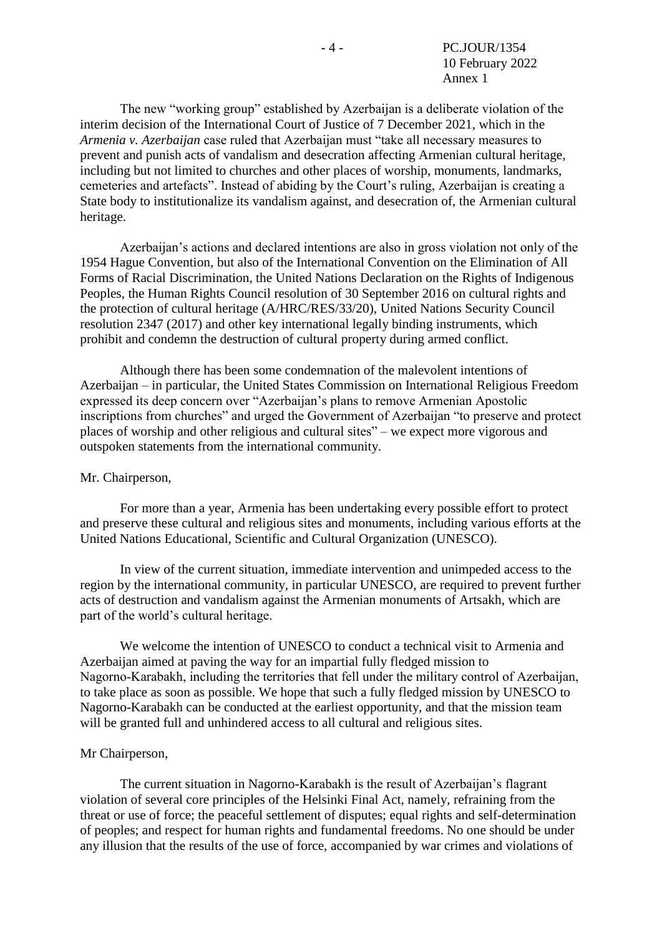The new "working group" established by Azerbaijan is a deliberate violation of the interim decision of the International Court of Justice of 7 December 2021, which in the *Armenia v. Azerbaijan* case ruled that Azerbaijan must "take all necessary measures to prevent and punish acts of vandalism and desecration affecting Armenian cultural heritage, including but not limited to churches and other places of worship, monuments, landmarks, cemeteries and artefacts". Instead of abiding by the Court's ruling, Azerbaijan is creating a State body to institutionalize its vandalism against, and desecration of, the Armenian cultural heritage.

Azerbaijan's actions and declared intentions are also in gross violation not only of the 1954 Hague Convention, but also of the International Convention on the Elimination of All Forms of Racial Discrimination, the United Nations Declaration on the Rights of Indigenous Peoples, the Human Rights Council resolution of 30 September 2016 on cultural rights and the protection of cultural heritage (A/HRC/RES/33/20), United Nations Security Council resolution 2347 (2017) and other key international legally binding instruments, which prohibit and condemn the destruction of cultural property during armed conflict.

Although there has been some condemnation of the malevolent intentions of Azerbaijan – in particular, the United States Commission on International Religious Freedom expressed its deep concern over "Azerbaijan's plans to remove Armenian Apostolic inscriptions from churches" and urged the Government of Azerbaijan "to preserve and protect places of worship and other religious and cultural sites" – we expect more vigorous and outspoken statements from the international community.

### Mr. Chairperson,

For more than a year, Armenia has been undertaking every possible effort to protect and preserve these cultural and religious sites and monuments, including various efforts at the United Nations Educational, Scientific and Cultural Organization (UNESCO).

In view of the current situation, immediate intervention and unimpeded access to the region by the international community, in particular UNESCO, are required to prevent further acts of destruction and vandalism against the Armenian monuments of Artsakh, which are part of the world's cultural heritage.

We welcome the intention of UNESCO to conduct a technical visit to Armenia and Azerbaijan aimed at paving the way for an impartial fully fledged mission to Nagorno‑Karabakh, including the territories that fell under the military control of Azerbaijan, to take place as soon as possible. We hope that such a fully fledged mission by UNESCO to Nagorno-Karabakh can be conducted at the earliest opportunity, and that the mission team will be granted full and unhindered access to all cultural and religious sites.

### Mr Chairperson,

The current situation in Nagorno-Karabakh is the result of Azerbaijan's flagrant violation of several core principles of the Helsinki Final Act, namely, refraining from the threat or use of force; the peaceful settlement of disputes; equal rights and self-determination of peoples; and respect for human rights and fundamental freedoms. No one should be under any illusion that the results of the use of force, accompanied by war crimes and violations of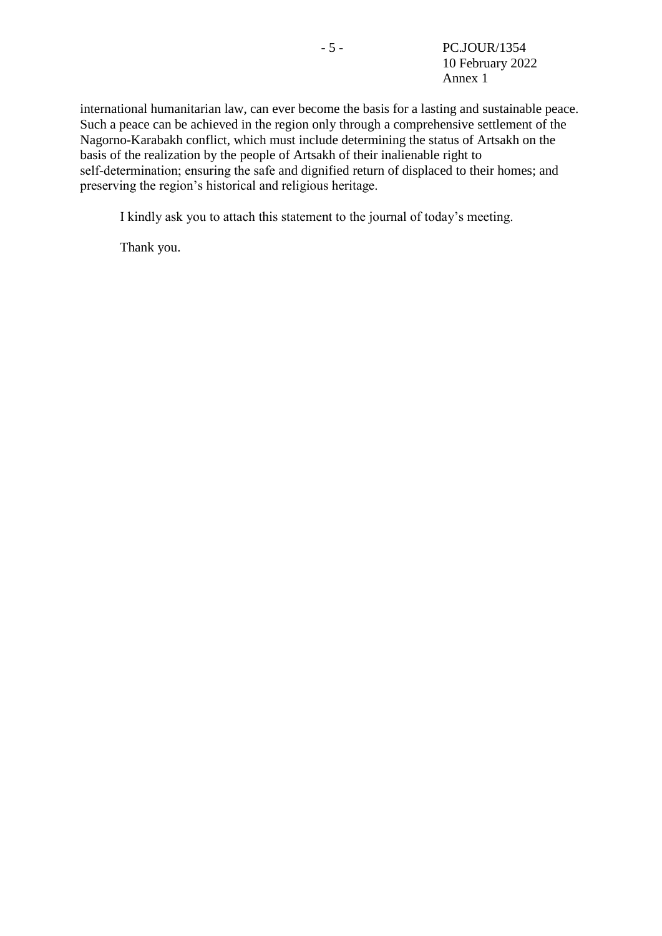international humanitarian law, can ever become the basis for a lasting and sustainable peace. Such a peace can be achieved in the region only through a comprehensive settlement of the Nagorno-Karabakh conflict, which must include determining the status of Artsakh on the basis of the realization by the people of Artsakh of their inalienable right to self-determination; ensuring the safe and dignified return of displaced to their homes; and preserving the region's historical and religious heritage.

I kindly ask you to attach this statement to the journal of today's meeting.

Thank you.